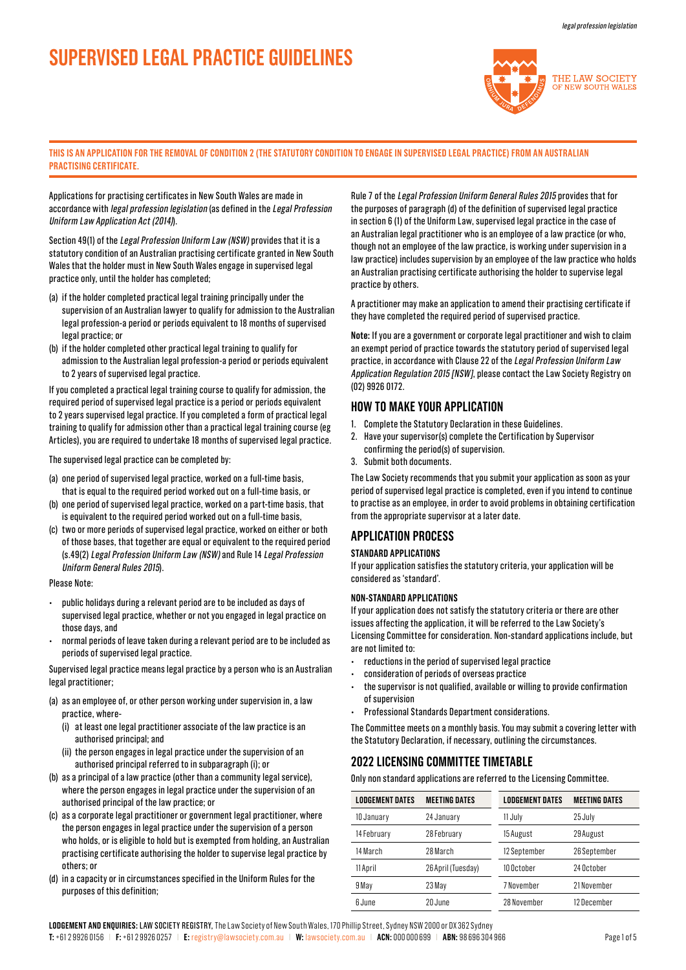# **SUPERVISED LEGAL PRACTICE GUIDELINES**



### **THIS IS AN APPLICATION FOR THE REMOVAL OF CONDITION 2 (THE STATUTORY CONDITION TO ENGAGE IN SUPERVISED LEGAL PRACTICE) FROM AN AUSTRALIAN PRACTISING CERTIFICATE.**

Applications for practising certificates in New South Wales are made in accordance with legal profession legislation (as defined in the Legal Profession Uniform Law Application Act (2014)).

Section 49(1) of the Legal Profession Uniform Law (NSW) provides that it is a statutory condition of an Australian practising certificate granted in New South Wales that the holder must in New South Wales engage in supervised legal practice only, until the holder has completed;

- (a) if the holder completed practical legal training principally under the supervision of an Australian lawyer to qualify for admission to the Australian legal profession-a period or periods equivalent to 18 months of supervised legal practice; or
- (b) if the holder completed other practical legal training to qualify for admission to the Australian legal profession-a period or periods equivalent to 2 years of supervised legal practice.

If you completed a practical legal training course to qualify for admission, the required period of supervised legal practice is a period or periods equivalent to 2 years supervised legal practice. If you completed a form of practical legal training to qualify for admission other than a practical legal training course (eg Articles), you are required to undertake 18 months of supervised legal practice.

The supervised legal practice can be completed by:

- (a) one period of supervised legal practice, worked on a full-time basis, that is equal to the required period worked out on a full-time basis, or
- (b) one period of supervised legal practice, worked on a part-time basis, that is equivalent to the required period worked out on a full-time basis,
- (c) two or more periods of supervised legal practice, worked on either or both of those bases, that together are equal or equivalent to the required period (s.49(2) Legal Profession Uniform Law (NSW) and Rule 14 Legal Profession Uniform General Rules 2015).

### Please Note:

- public holidays during a relevant period are to be included as days of supervised legal practice, whether or not you engaged in legal practice on those days, and
- normal periods of leave taken during a relevant period are to be included as periods of supervised legal practice.

Supervised legal practice means legal practice by a person who is an Australian legal practitioner;

(a) as an employee of, or other person working under supervision in, a law practice, where-

- (i) at least one legal practitioner associate of the law practice is an authorised principal; and
- (ii) the person engages in legal practice under the supervision of an authorised principal referred to in subparagraph (i); or
- (b) as a principal of a law practice (other than a community legal service), where the person engages in legal practice under the supervision of an authorised principal of the law practice; or
- (c) as a corporate legal practitioner or government legal practitioner, where the person engages in legal practice under the supervision of a person who holds, or is eligible to hold but is exempted from holding, an Australian practising certificate authorising the holder to supervise legal practice by others; or
- (d) in a capacity or in circumstances specified in the Uniform Rules for the purposes of this definition;

Rule 7 of the Legal Profession Uniform General Rules 2015 provides that for the purposes of paragraph (d) of the definition of supervised legal practice in section 6 (1) of the Uniform Law, supervised legal practice in the case of an Australian legal practitioner who is an employee of a law practice (or who, though not an employee of the law practice, is working under supervision in a law practice) includes supervision by an employee of the law practice who holds an Australian practising certificate authorising the holder to supervise legal practice by others.

A practitioner may make an application to amend their practising certificate if they have completed the required period of supervised practice.

**Note:** If you are a government or corporate legal practitioner and wish to claim an exempt period of practice towards the statutory period of supervised legal practice, in accordance with Clause 22 of the Legal Profession Uniform Law Application Regulation 2015 [NSW], please contact the Law Society Registry on (02) 9926 0172.

### **HOW TO MAKE YOUR APPLICATION**

- 1. Complete the Statutory Declaration in these Guidelines.
- 2. Have your supervisor(s) complete the Certification by Supervisor confirming the period(s) of supervision.
- 3. Submit both documents.

The Law Society recommends that you submit your application as soon as your period of supervised legal practice is completed, even if you intend to continue to practise as an employee, in order to avoid problems in obtaining certification from the appropriate supervisor at a later date.

### **APPLICATION PROCESS**

### **STANDARD APPLICATIONS**

If your application satisfies the statutory criteria, your application will be considered as 'standard'.

### **NON-STANDARD APPLICATIONS**

If your application does not satisfy the statutory criteria or there are other issues affecting the application, it will be referred to the Law Society's Licensing Committee for consideration. Non-standard applications include, but are not limited to:

- reductions in the period of supervised legal practice
- consideration of periods of overseas practice
- the supervisor is not qualified, available or willing to provide confirmation of supervision
- Professional Standards Department considerations.

The Committee meets on a monthly basis. You may submit a covering letter with the Statutory Declaration, if necessary, outlining the circumstances.

## **2022 LICENSING COMMITTEE TIMETABLE**

Only non standard applications are referred to the Licensing Committee.

| <b>LODGEMENT DATES</b> | <b>MEETING DATES</b> | <b>LODGEMENT DATES</b> | <b>MEETING DATES</b> |
|------------------------|----------------------|------------------------|----------------------|
| 10 January             | 24 January           | 11 July                | 25 July              |
| 14 February            | 28 February          | 15 August              | 29 August            |
| 14 March               | 28 March             | 12 September           | 26 September         |
| 11 April               | 26 April (Tuesday)   | 10 October             | 24 October           |
| 9 May                  | 23 May               | 7 November             | 21 November          |
| 6 June                 | 20 June              | 28 November            | 12 December          |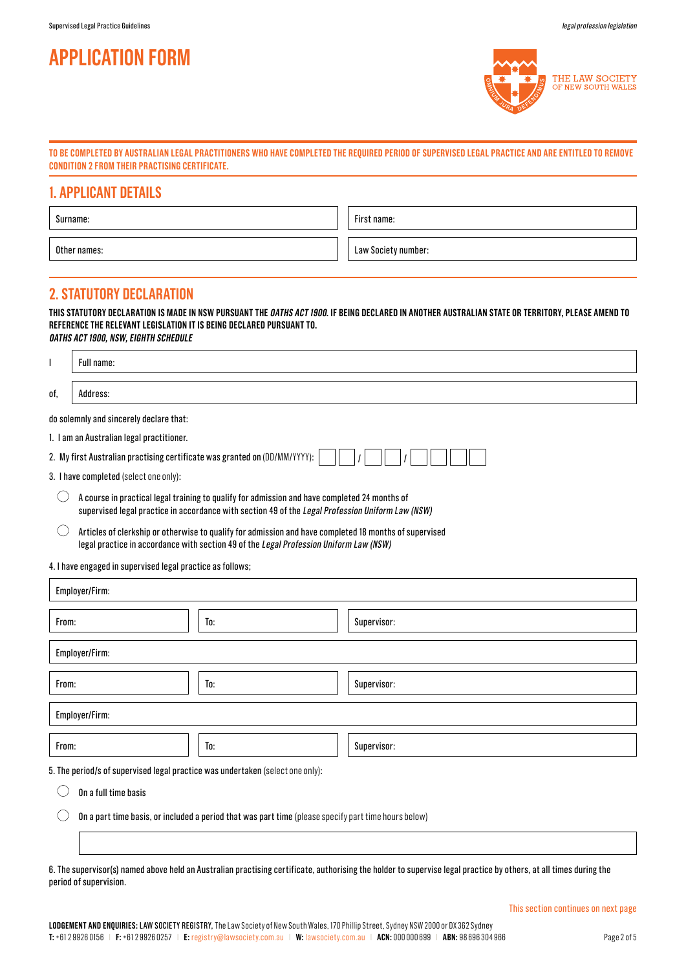# **APPLICATION FORM**



### **TO BE COMPLETED BY AUSTRALIAN LEGAL PRACTITIONERS WHO HAVE COMPLETED THE REQUIRED PERIOD OF SUPERVISED LEGAL PRACTICE AND ARE ENTITLED TO REMOVE CONDITION 2 FROM THEIR PRACTISING CERTIFICATE.**

### **1. APPLICANT DETAILS**

| Surname:     | First name:         |
|--------------|---------------------|
| Other names: | Law Society number: |

## **2. STATUTORY DECLARATION**

Full name:

I

**THIS STATUTORY DECLARATION IS MADE IN NSW PURSUANT THE OATHS ACT 1900. IF BEING DECLARED IN ANOTHER AUSTRALIAN STATE OR TERRITORY, PLEASE AMEND TO REFERENCE THE RELEVANT LEGISLATION IT IS BEING DECLARED PURSUANT TO. OATHS ACT 1900, NSW, EIGHTH SCHEDULE**

| of,                                                                                                                                                                                                | Address:                                                                                                                                                                                         |  |
|----------------------------------------------------------------------------------------------------------------------------------------------------------------------------------------------------|--------------------------------------------------------------------------------------------------------------------------------------------------------------------------------------------------|--|
| do solemnly and sincerely declare that:                                                                                                                                                            |                                                                                                                                                                                                  |  |
| 1. I am an Australian legal practitioner.                                                                                                                                                          |                                                                                                                                                                                                  |  |
|                                                                                                                                                                                                    | 2. My first Australian practising certificate was granted on (DD/MM/YYYY):                                                                                                                       |  |
| have completed (select one only):<br>3. I                                                                                                                                                          |                                                                                                                                                                                                  |  |
| A course in practical legal training to qualify for admission and have completed 24 months of<br>supervised legal practice in accordance with section 49 of the Legal Profession Uniform Law (NSW) |                                                                                                                                                                                                  |  |
|                                                                                                                                                                                                    | Articles of clerkship or otherwise to qualify for admission and have completed 18 months of supervised<br>legal practice in accordance with section 49 of the Legal Profession Uniform Law (NSW) |  |

4. I have engaged in supervised legal practice as follows;

| Employer/Firm:                                                                              |     |             |
|---------------------------------------------------------------------------------------------|-----|-------------|
| From:                                                                                       | To: | Supervisor: |
| Employer/Firm:                                                                              |     |             |
| From:                                                                                       | To: | Supervisor: |
| Employer/Firm:                                                                              |     |             |
| From:                                                                                       | To: | Supervisor: |
| 5. The period/s of supervised legal practice was undertaken (select one only):<br>$\bigcap$ |     |             |

On a full time basis  $($ 

 $\bigcirc$ On a part time basis, or included a period that was part time (please specify part time hours below)

6. The supervisor(s) named above held an Australian practising certificate, authorising the holder to supervise legal practice by others, at all times during the period of supervision.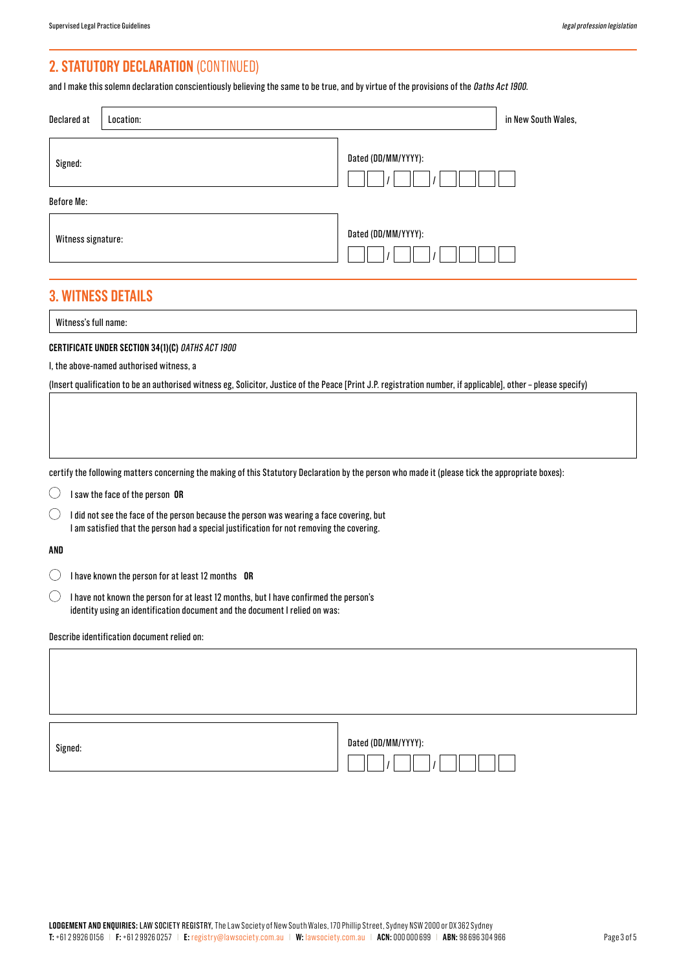# **2. STATUTORY DECLARATION** (CONTINUED)

and I make this solemn declaration conscientiously believing the same to be true, and by virtue of the provisions of the *Oaths Act 1900*.

| Declared at                                                                                                                                                          | in New South Wales,<br>Location:                                                                                                                                                      |                                                                                                                                                                |  |
|----------------------------------------------------------------------------------------------------------------------------------------------------------------------|---------------------------------------------------------------------------------------------------------------------------------------------------------------------------------------|----------------------------------------------------------------------------------------------------------------------------------------------------------------|--|
| Signed:                                                                                                                                                              |                                                                                                                                                                                       | Dated (DD/MM/YYYY):                                                                                                                                            |  |
| <b>Before Me:</b>                                                                                                                                                    |                                                                                                                                                                                       |                                                                                                                                                                |  |
| Witness signature:                                                                                                                                                   |                                                                                                                                                                                       | Dated (DD/MM/YYYY):                                                                                                                                            |  |
|                                                                                                                                                                      | <b>3. WITNESS DETAILS</b>                                                                                                                                                             |                                                                                                                                                                |  |
| Witness's full name:                                                                                                                                                 |                                                                                                                                                                                       |                                                                                                                                                                |  |
|                                                                                                                                                                      | CERTIFICATE UNDER SECTION 34(1)(C) OATHS ACT 1900<br>I, the above-named authorised witness, a                                                                                         | (Insert qualification to be an authorised witness eg, Solicitor, Justice of the Peace [Print J.P. registration number, if applicable], other - please specify) |  |
|                                                                                                                                                                      | certify the following matters concerning the making of this Statutory Declaration by the person who made it (please tick the appropriate boxes):                                      |                                                                                                                                                                |  |
|                                                                                                                                                                      | I saw the face of the person OR                                                                                                                                                       |                                                                                                                                                                |  |
| ( )                                                                                                                                                                  | I did not see the face of the person because the person was wearing a face covering, but<br>I am satisfied that the person had a special justification for not removing the covering. |                                                                                                                                                                |  |
| AND                                                                                                                                                                  |                                                                                                                                                                                       |                                                                                                                                                                |  |
|                                                                                                                                                                      | I have known the person for at least 12 months OR                                                                                                                                     |                                                                                                                                                                |  |
| I have not known the person for at least 12 months, but I have confirmed the person's<br>identity using an identification document and the document I relied on was: |                                                                                                                                                                                       |                                                                                                                                                                |  |
|                                                                                                                                                                      | Describe identification document relied on:                                                                                                                                           |                                                                                                                                                                |  |
|                                                                                                                                                                      |                                                                                                                                                                                       |                                                                                                                                                                |  |
| Signed:                                                                                                                                                              |                                                                                                                                                                                       | Dated (DD/MM/YYYY):                                                                                                                                            |  |

 $|I|$ 

 $|I|$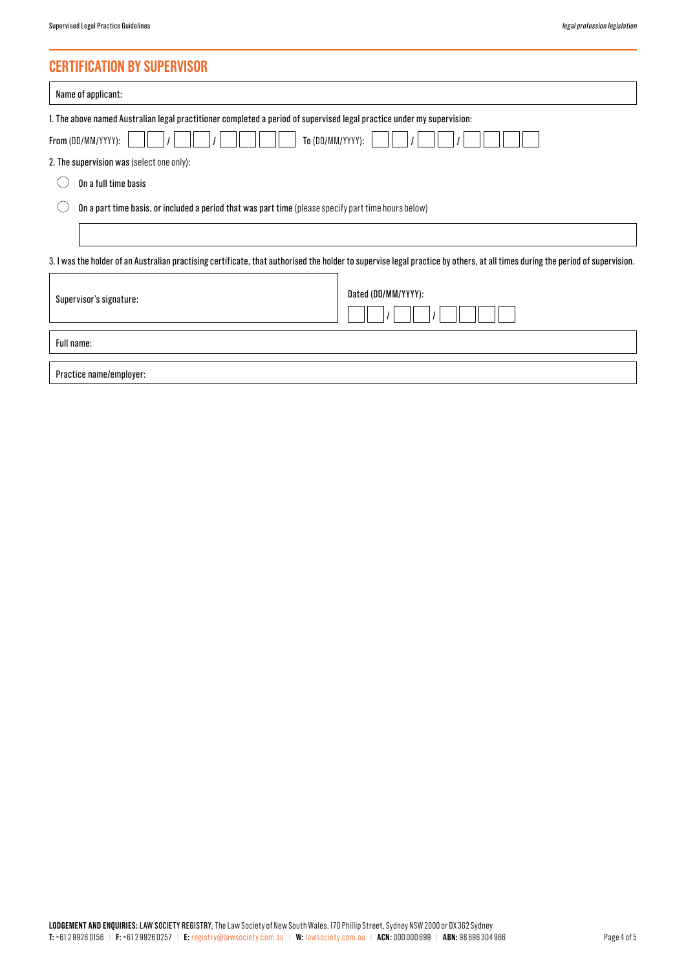# **CERTIFICATION BY SUPERVISOR**

| Name of applicant:                                                                                                                                                            |  |  |  |
|-------------------------------------------------------------------------------------------------------------------------------------------------------------------------------|--|--|--|
| 1. The above named Australian legal practitioner completed a period of supervised legal practice under my supervision:                                                        |  |  |  |
| To (DD/MM/YYYY):<br>From (DD/MM/YYYY):                                                                                                                                        |  |  |  |
| 2. The supervision was (select one only):                                                                                                                                     |  |  |  |
| On a full time basis                                                                                                                                                          |  |  |  |
| On a part time basis, or included a period that was part time (please specify part time hours below)                                                                          |  |  |  |
|                                                                                                                                                                               |  |  |  |
| 3. I was the holder of an Australian practising certificate, that authorised the holder to supervise legal practice by others, at all times during the period of supervision. |  |  |  |
| Dated (DD/MM/YYYY):<br>Supervisor's signature:                                                                                                                                |  |  |  |
| Full name:                                                                                                                                                                    |  |  |  |
| Practice name/employer:                                                                                                                                                       |  |  |  |